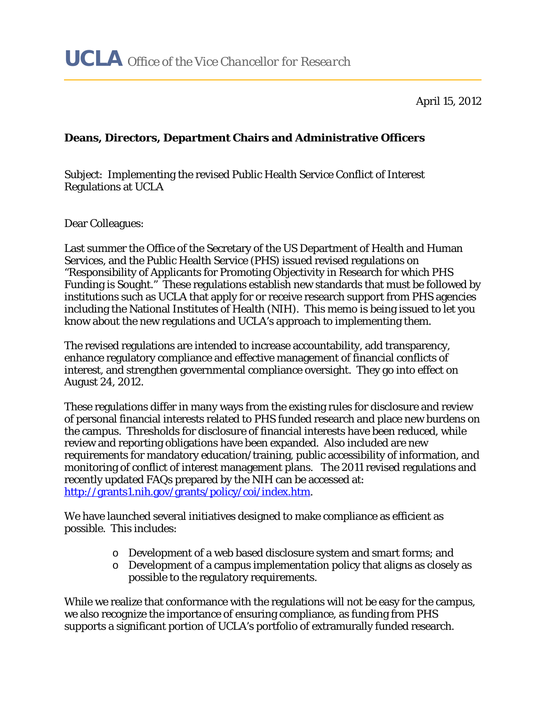April 15, 2012

## **Deans, Directors, Department Chairs and Administrative Officers**

Subject: Implementing the revised Public Health Service Conflict of Interest Regulations at UCLA

Dear Colleagues:

Last summer the Office of the Secretary of the US Department of Health and Human Services, and the Public Health Service (PHS) issued revised regulations on "Responsibility of Applicants for Promoting Objectivity in Research for which PHS Funding is Sought." These regulations establish new standards that must be followed by institutions such as UCLA that apply for or receive research support from PHS agencies including the National Institutes of Health (NIH). This memo is being issued to let you know about the new regulations and UCLA's approach to implementing them.

The revised regulations are intended to increase accountability, add transparency, enhance regulatory compliance and effective management of financial conflicts of interest, and strengthen governmental compliance oversight. They go into effect on August 24, 2012.

These regulations differ in many ways from the existing rules for disclosure and review of personal financial interests related to PHS funded research and place new burdens on the campus. Thresholds for disclosure of financial interests have been reduced, while review and reporting obligations have been expanded. Also included are new requirements for mandatory education/training, public accessibility of information, and monitoring of conflict of interest management plans. The 2011 revised regulations and recently updated FAQs prepared by the NIH can be accessed at: http://grants1.nih.gov/grants/policy/coi/index.htm.

We have launched several initiatives designed to make compliance as efficient as possible. This includes:

- o Development of a web based disclosure system and smart forms; and
- o Development of a campus implementation policy that aligns as closely as possible to the regulatory requirements.

While we realize that conformance with the regulations will not be easy for the campus, we also recognize the importance of ensuring compliance, as funding from PHS supports a significant portion of UCLA's portfolio of extramurally funded research.